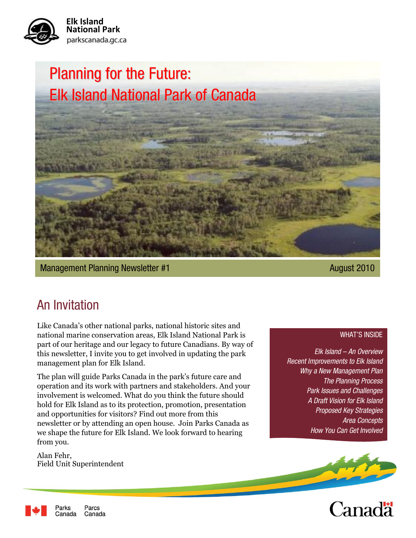

# Planning for the Future: Elk Island National Park of Canada

Management Planning Newsletter #1 August 2010

### An Invitation

Like Canada"s other national parks, national historic sites and national marine conservation areas, Elk Island National Park is part of our heritage and our legacy to future Canadians. By way of this newsletter, I invite you to get involved in updating the park management plan for Elk Island.

The plan will guide Parks Canada in the park's future care and operation and its work with partners and stakeholders. And your involvement is welcomed. What do you think the future should hold for Elk Island as to its protection, promotion, presentation and opportunities for visitors? Find out more from this newsletter or by attending an open house. Join Parks Canada as we shape the future for Elk Island. We look forward to hearing from you.

Alan Fehr, Field Unit Superintendent

#### WHAT'S INSIDE

*Elk Island – An Overview Recent Improvements to Elk Island Why a New Management Plan The Planning Process Park Issues and Challenges A Draft Vision for Elk Island Proposed Key Strategies Area Concepts How You Can Get Involved*





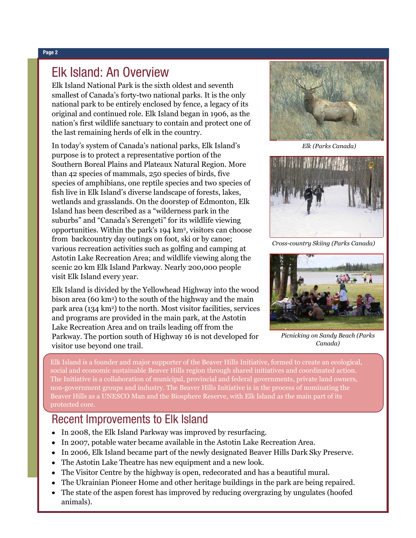#### Elk Island: An Overview

Elk Island National Park is the sixth oldest and seventh smallest of Canada"s forty-two national parks. It is the only national park to be entirely enclosed by fence, a legacy of its original and continued role. Elk Island began in 1906, as the nation"s first wildlife sanctuary to contain and protect one of the last remaining herds of elk in the country.

In today"s system of Canada"s national parks, Elk Island"s purpose is to protect a representative portion of the Southern Boreal Plains and Plateaux Natural Region. More than 42 species of mammals, 250 species of birds, five species of amphibians, one reptile species and two species of fish live in Elk Island"s diverse landscape of forests, lakes, wetlands and grasslands. On the doorstep of Edmonton, Elk Island has been described as a "wilderness park in the suburbs" and "Canada"s Serengeti" for its wildlife viewing opportunities. Within the park's 194 km<sup>2</sup>, visitors can choose from backcountry day outings on foot, ski or by canoe; various recreation activities such as golfing and camping at Astotin Lake Recreation Area; and wildlife viewing along the scenic 20 km Elk Island Parkway. Nearly 200,000 people visit Elk Island every year.

Elk Island is divided by the Yellowhead Highway into the wood bison area (60 km2) to the south of the highway and the main park area (134 km2) to the north. Most visitor facilities, services and programs are provided in the main park, at the Astotin Lake Recreation Area and on trails leading off from the Parkway. The portion south of Highway 16 is not developed for visitor use beyond one trail.



*Elk (Parks Canada)*



*Cross-country Skiing (Parks Canada)*



*Picnicking on Sandy Beach (Parks Canada)*

Elk Island is a founder and major supporter of the Beaver Hills Initiative, formed to create an ecological, social and economic sustainable Beaver Hills region through shared initiatives and coordinated action. The Initiative is a collaboration of municipal, provincial and federal governments, private land owners, non-government groups and industry. The Beaver Hills Initiative is in the process of nominating the Beaver Hills as a UNESCO Man and the Biosphere Reserve, with Elk Island as the main part of its protected core.

#### Recent Improvements to Elk Island

- In 2008, the Elk Island Parkway was improved by resurfacing.
- In 2007, potable water became available in the Astotin Lake Recreation Area.
- In 2006, Elk Island became part of the newly designated Beaver Hills Dark Sky Preserve.
- The Astotin Lake Theatre has new equipment and a new look.
- The Visitor Centre by the highway is open, redecorated and has a beautiful mural.
- The Ukrainian Pioneer Home and other heritage buildings in the park are being repaired.
- The state of the aspen forest has improved by reducing overgrazing by ungulates (hoofed  $\bullet$ animals).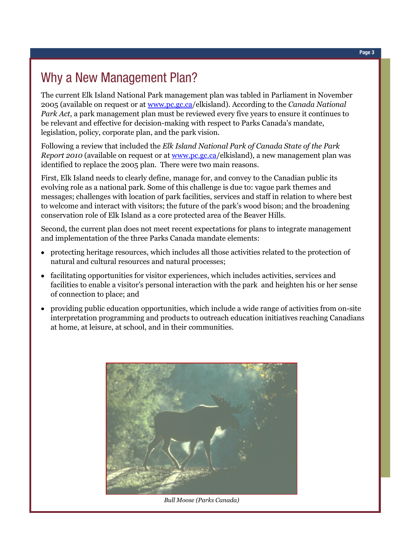## Why a New Management Plan?

The current Elk Island National Park management plan was tabled in Parliament in November 2005 (available on request or at [www.pc.gc.ca/](http://www.pc.gc.ca/)elkisland). According to the *Canada National Park Act*, a park management plan must be reviewed every five years to ensure it continues to be relevant and effective for decision-making with respect to Parks Canada's mandate, legislation, policy, corporate plan, and the park vision.

Following a review that included the *Elk Island National Park of Canada State of the Park Report 2010* (available on request or at [www.pc.gc.ca/](http://www.pc.gc.ca/)elkisland), a new management plan was identified to replace the 2005 plan. There were two main reasons.

First, Elk Island needs to clearly define, manage for, and convey to the Canadian public its evolving role as a national park. Some of this challenge is due to: vague park themes and messages; challenges with location of park facilities, services and staff in relation to where best to welcome and interact with visitors; the future of the park"s wood bison; and the broadening conservation role of Elk Island as a core protected area of the Beaver Hills.

Second, the current plan does not meet recent expectations for plans to integrate management and implementation of the three Parks Canada mandate elements:

- protecting heritage resources, which includes all those activities related to the protection of natural and cultural resources and natural processes;
- facilitating opportunities for visitor experiences, which includes activities, services and facilities to enable a visitor's personal interaction with the park and heighten his or her sense of connection to place; and
- providing public education opportunities, which include a wide range of activities from on-site interpretation programming and products to outreach education initiatives reaching Canadians at home, at leisure, at school, and in their communities.



*Bull Moose (Parks Canada)*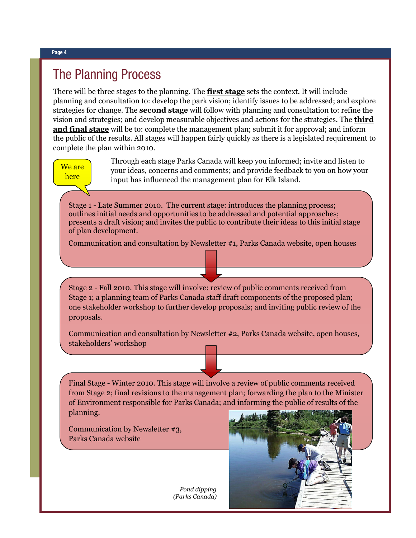#### The Planning Process

There will be three stages to the planning. The **first stage** sets the context. It will include planning and consultation to: develop the park vision; identify issues to be addressed; and explore strategies for change. The **second stage** will follow with planning and consultation to: refine the vision and strategies; and develop measurable objectives and actions for the strategies. The **third and final stage** will be to: complete the management plan; submit it for approval; and inform the public of the results. All stages will happen fairly quickly as there is a legislated requirement to complete the plan within 2010.

#### We are here

Through each stage Parks Canada will keep you informed; invite and listen to your ideas, concerns and comments; and provide feedback to you on how your input has influenced the management plan for Elk Island.

Stage 1 - Late Summer 2010. The current stage: introduces the planning process; outlines initial needs and opportunities to be addressed and potential approaches; presents a draft vision; and invites the public to contribute their ideas to this initial stage of plan development.

Communication and consultation by Newsletter #1, Parks Canada website, open houses

Stage 2 - Fall 2010. This stage will involve: review of public comments received from Stage 1; a planning team of Parks Canada staff draft components of the proposed plan; one stakeholder workshop to further develop proposals; and inviting public review of the proposals.

Communication and consultation by Newsletter #2, Parks Canada website, open houses, stakeholders" workshop

Final Stage - Winter 2010. This stage will involve a review of public comments received from Stage 2; final revisions to the management plan; forwarding the plan to the Minister of Environment responsible for Parks Canada; and informing the public of results of the planning.

Communication by Newsletter #3, Parks Canada website

> *Pond dipping (Parks Canada)*

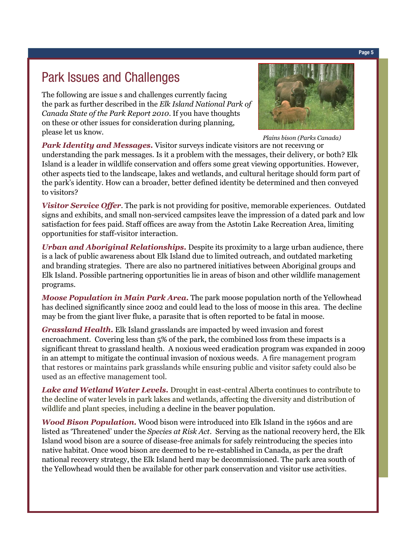#### Park Issues and Challenges

The following are issue s and challenges currently facing the park as further described in the *Elk Island National Park of Canada State of the Park Report 2010*. If you have thoughts on these or other issues for consideration during planning, please let us know.



*Plains bison (Parks Canada)*

**Park Identity and Messages.** Visitor surveys indicate visitors are not receiving or understanding the park messages. Is it a problem with the messages, their delivery, or both? Elk Island is a leader in wildlife conservation and offers some great viewing opportunities. However, other aspects tied to the landscape, lakes and wetlands, and cultural heritage should form part of the park"s identity. How can a broader, better defined identity be determined and then conveyed to visitors?

*Visitor Service Offer*. The park is not providing for positive, memorable experiences. Outdated signs and exhibits, and small non-serviced campsites leave the impression of a dated park and low satisfaction for fees paid. Staff offices are away from the Astotin Lake Recreation Area, limiting opportunities for staff-visitor interaction.

*Urban and Aboriginal Relationships.* Despite its proximity to a large urban audience, there is a lack of public awareness about Elk Island due to limited outreach, and outdated marketing and branding strategies. There are also no partnered initiatives between Aboriginal groups and Elk Island. Possible partnering opportunities lie in areas of bison and other wildlife management programs.

*Moose Population in Main Park Area.* The park moose population north of the Yellowhead has declined significantly since 2002 and could lead to the loss of moose in this area. The decline may be from the giant liver fluke, a parasite that is often reported to be fatal in moose.

*Grassland Health.* Elk Island grasslands are impacted by weed invasion and forest encroachment. Covering less than 5% of the park, the combined loss from these impacts is a significant threat to grassland health. A noxious weed eradication program was expanded in 2009 in an attempt to mitigate the continual invasion of noxious weeds. A fire management program that restores or maintains park grasslands while ensuring public and visitor safety could also be used as an effective management tool.

*Lake and Wetland Water Levels.* Drought in east-central Alberta continues to contribute to the decline of water levels in park lakes and wetlands, affecting the diversity and distribution of wildlife and plant species, including a decline in the beaver population.

*Wood Bison Population.* Wood bison were introduced into Elk Island in the 1960s and are listed as "Threatened" under the *Species at Risk Act*. Serving as the national recovery herd, the Elk Island wood bison are a source of disease-free animals for safely reintroducing the species into native habitat. Once wood bison are deemed to be re-established in Canada, as per the draft national recovery strategy, the Elk Island herd may be decommissioned. The park area south of the Yellowhead would then be available for other park conservation and visitor use activities.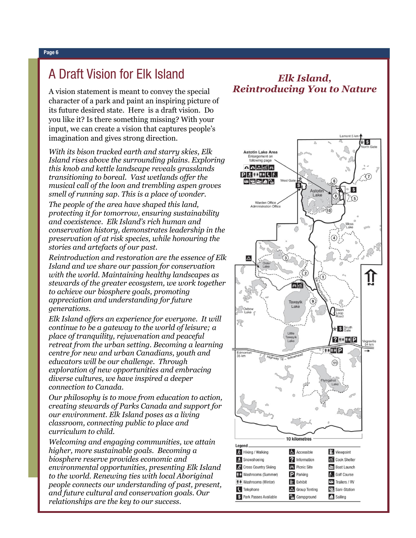#### A Draft Vision for Elk Island

A vision statement is meant to convey the special character of a park and paint an inspiring picture of its future desired state. Here is a draft vision. Do you like it? Is there something missing? With your input, we can create a vision that captures people"s imagination and gives strong direction.

*With its bison tracked earth and starry skies, Elk Island rises above the surrounding plains. Exploring this knob and kettle landscape reveals grasslands transitioning to boreal. Vast wetlands offer the musical call of the loon and trembling aspen groves smell of running sap. This is a place of wonder.*

*The people of the area have shaped this land, protecting it for tomorrow, ensuring sustainability and coexistence. Elk Island's rich human and conservation history, demonstrates leadership in the preservation of at risk species, while honouring the stories and artefacts of our past.* 

*Reintroduction and restoration are the essence of Elk Island and we share our passion for conservation with the world. Maintaining healthy landscapes as stewards of the greater ecosystem, we work together to achieve our biosphere goals, promoting appreciation and understanding for future generations.*

*Elk Island offers an experience for everyone. It will continue to be a gateway to the world of leisure; a place of tranquility, rejuvenation and peaceful retreat from the urban setting. Becoming a learning centre for new and urban Canadians, youth and educators will be our challenge. Through exploration of new opportunities and embracing diverse cultures, we have inspired a deeper connection to Canada.*

*Our philosophy is to move from education to action, creating stewards of Parks Canada and support for our environment. Elk Island poses as a living classroom, connecting public to place and curriculum to child.*

*Welcoming and engaging communities, we attain higher, more sustainable goals. Becoming a biosphere reserve provides economic and environmental opportunities, presenting Elk Island to the world. Renewing ties with local Aboriginal people connects our understanding of past, present, and future cultural and conservation goals. Our relationships are the key to our success.* 

#### *Elk Island, Reintroducing You to Nature*

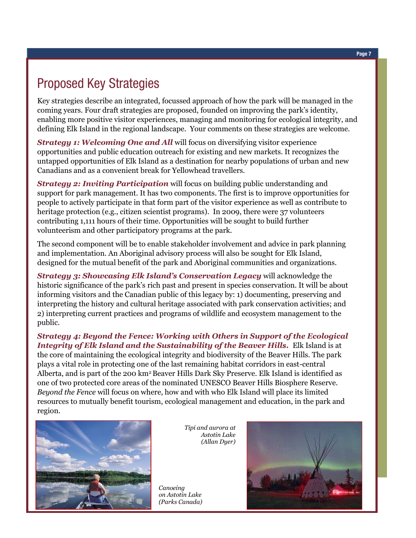### Proposed Key Strategies

Key strategies describe an integrated, focussed approach of how the park will be managed in the coming years. Four draft strategies are proposed, founded on improving the park"s identity, enabling more positive visitor experiences, managing and monitoring for ecological integrity, and defining Elk Island in the regional landscape. Your comments on these strategies are welcome.

**Strategy 1: Welcoming One and All** will focus on diversifying visitor experience opportunities and public education outreach for existing and new markets. It recognizes the untapped opportunities of Elk Island as a destination for nearby populations of urban and new Canadians and as a convenient break for Yellowhead travellers.

**Strategy 2: Inviting Participation** will focus on building public understanding and support for park management. It has two components. The first is to improve opportunities for people to actively participate in that form part of the visitor experience as well as contribute to heritage protection (e.g., citizen scientist programs). In 2009, there were 37 volunteers contributing 1,111 hours of their time. Opportunities will be sought to build further volunteerism and other participatory programs at the park.

The second component will be to enable stakeholder involvement and advice in park planning and implementation. An Aboriginal advisory process will also be sought for Elk Island, designed for the mutual benefit of the park and Aboriginal communities and organizations.

*Strategy 3: Showcasing Elk Island's Conservation Legacy* will acknowledge the historic significance of the park"s rich past and present in species conservation. It will be about informing visitors and the Canadian public of this legacy by: 1) documenting, preserving and interpreting the history and cultural heritage associated with park conservation activities; and 2) interpreting current practices and programs of wildlife and ecosystem management to the public.

*Strategy 4: Beyond the Fence: Working with Others in Support of the Ecological Integrity of Elk Island and the Sustainability of the Beaver Hills.* Elk Island is at the core of maintaining the ecological integrity and biodiversity of the Beaver Hills. The park plays a vital role in protecting one of the last remaining habitat corridors in east-central Alberta, and is part of the 200 km2 Beaver Hills Dark Sky Preserve. Elk Island is identified as one of two protected core areas of the nominated UNESCO Beaver Hills Biosphere Reserve. *Beyond the Fence* will focus on where, how and with who Elk Island will place its limited resources to mutually benefit tourism, ecological management and education, in the park and region.



*Tipi and aurora at Astotin Lake (Allan Dyer)*

*Canoeing on Astotin Lake (Parks Canada)*